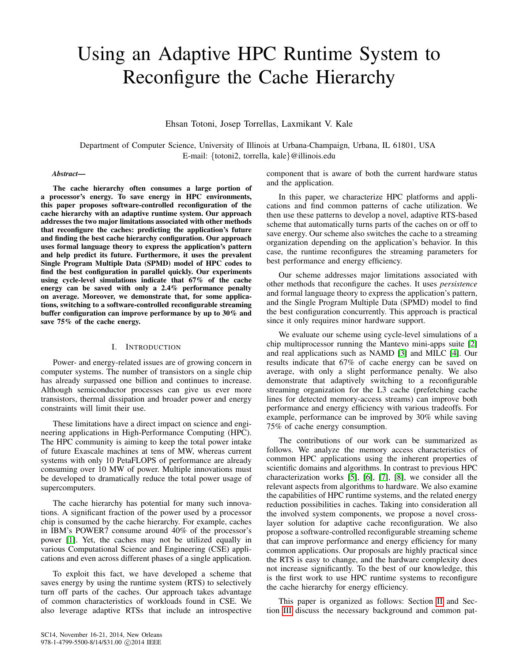# Using an Adaptive HPC Runtime System to Reconfigure the Cache Hierarchy

Ehsan Totoni, Josep Torrellas, Laxmikant V. Kale

Department of Computer Science, University of Illinois at Urbana-Champaign, Urbana, IL 61801, USA E-mail: {totoni2, torrella, kale}@illinois.edu

#### *Abstract*—

The cache hierarchy often consumes a large portion of a processor's energy. To save energy in HPC environments, this paper proposes software-controlled reconfiguration of the cache hierarchy with an adaptive runtime system. Our approach addresses the two major limitations associated with other methods that reconfigure the caches: predicting the application's future and finding the best cache hierarchy configuration. Our approach uses formal language theory to express the application's pattern and help predict its future. Furthermore, it uses the prevalent Single Program Multiple Data (SPMD) model of HPC codes to find the best configuration in parallel quickly. Our experiments using cycle-level simulations indicate that 67% of the cache energy can be saved with only a 2.4% performance penalty on average. Moreover, we demonstrate that, for some applications, switching to a software-controlled reconfigurable streaming buffer configuration can improve performance by up to 30% and save 75% of the cache energy.

## I. INTRODUCTION

Power- and energy-related issues are of growing concern in computer systems. The number of transistors on a single chip has already surpassed one billion and continues to increase. Although semiconductor processes can give us ever more transistors, thermal dissipation and broader power and energy constraints will limit their use.

These limitations have a direct impact on science and engineering applications in High-Performance Computing (HPC). The HPC community is aiming to keep the total power intake of future Exascale machines at tens of MW, whereas current systems with only 10 PetaFLOPS of performance are already consuming over 10 MW of power. Multiple innovations must be developed to dramatically reduce the total power usage of supercomputers.

The cache hierarchy has potential for many such innovations. A significant fraction of the power used by a processor chip is consumed by the cache hierarchy. For example, caches in IBM's POWER7 consume around 40% of the processor's power [\[1\]](#page-10-0). Yet, the caches may not be utilized equally in various Computational Science and Engineering (CSE) applications and even across different phases of a single application.

To exploit this fact, we have developed a scheme that saves energy by using the runtime system (RTS) to selectively turn off parts of the caches. Our approach takes advantage of common characteristics of workloads found in CSE. We also leverage adaptive RTSs that include an introspective component that is aware of both the current hardware status and the application.

In this paper, we characterize HPC platforms and applications and find common patterns of cache utilization. We then use these patterns to develop a novel, adaptive RTS-based scheme that automatically turns parts of the caches on or off to save energy. Our scheme also switches the cache to a streaming organization depending on the application's behavior. In this case, the runtime reconfigures the streaming parameters for best performance and energy efficiency.

Our scheme addresses major limitations associated with other methods that reconfigure the caches. It uses *persistence* and formal language theory to express the application's pattern, and the Single Program Multiple Data (SPMD) model to find the best configuration concurrently. This approach is practical since it only requires minor hardware support.

We evaluate our scheme using cycle-level simulations of a chip multiprocessor running the Mantevo mini-apps suite [\[2\]](#page-10-1) and real applications such as NAMD [\[3\]](#page-10-2) and MILC [\[4\]](#page-10-3). Our results indicate that 67% of cache energy can be saved on average, with only a slight performance penalty. We also demonstrate that adaptively switching to a reconfigurable streaming organization for the L3 cache (prefetching cache lines for detected memory-access streams) can improve both performance and energy efficiency with various tradeoffs. For example, performance can be improved by 30% while saving 75% of cache energy consumption.

The contributions of our work can be summarized as follows. We analyze the memory access characteristics of common HPC applications using the inherent properties of scientific domains and algorithms. In contrast to previous HPC characterization works [\[5\]](#page-10-4), [\[6\]](#page-10-5), [\[7\]](#page-10-6), [\[8\]](#page-10-7), we consider all the relevant aspects from algorithms to hardware. We also examine the capabilities of HPC runtime systems, and the related energy reduction possibilities in caches. Taking into consideration all the involved system components, we propose a novel crosslayer solution for adaptive cache reconfiguration. We also propose a software-controlled reconfigurable streaming scheme that can improve performance and energy efficiency for many common applications. Our proposals are highly practical since the RTS is easy to change, and the hardware complexity does not increase significantly. To the best of our knowledge, this is the first work to use HPC runtime systems to reconfigure the cache hierarchy for energy efficiency.

This paper is organized as follows: Section [II](#page-1-0) and Section [III](#page-3-0) discuss the necessary background and common pat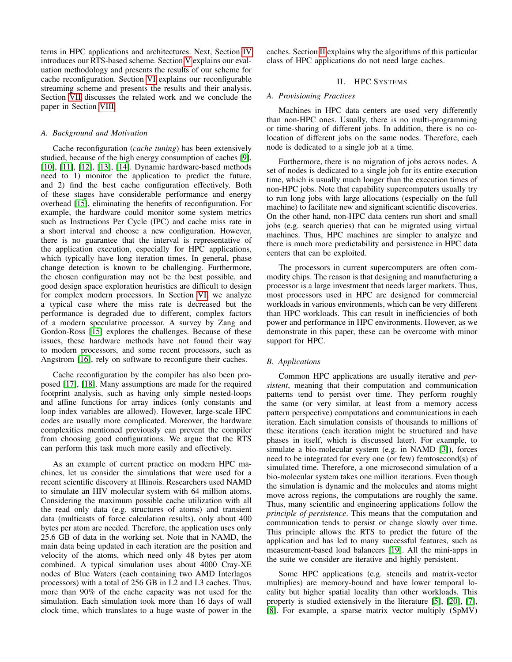terns in HPC applications and architectures. Next, Section [IV](#page-4-0) introduces our RTS-based scheme. Section [V](#page-7-0) explains our evaluation methodology and presents the results of our scheme for cache reconfiguration. Section [VI](#page-8-0) explains our reconfigurable streaming scheme and presents the results and their analysis. Section [VII](#page-9-0) discusses the related work and we conclude the paper in Section [VIII.](#page-10-8)

## *A. Background and Motivation*

Cache reconfiguration (*cache tuning*) has been extensively studied, because of the high energy consumption of caches [\[9\]](#page-10-9), [\[10\]](#page-11-0), [\[11\]](#page-11-1), [\[12\]](#page-11-2), [\[13\]](#page-11-3), [\[14\]](#page-11-4). Dynamic hardware-based methods need to 1) monitor the application to predict the future, and 2) find the best cache configuration effectively. Both of these stages have considerable performance and energy overhead [\[15\]](#page-11-5), eliminating the benefits of reconfiguration. For example, the hardware could monitor some system metrics such as Instructions Per Cycle (IPC) and cache miss rate in a short interval and choose a new configuration. However, there is no guarantee that the interval is representative of the application execution, especially for HPC applications, which typically have long iteration times. In general, phase change detection is known to be challenging. Furthermore, the chosen configuration may not be the best possible, and good design space exploration heuristics are difficult to design for complex modern processors. In Section [VI,](#page-8-0) we analyze a typical case where the miss rate is decreased but the performance is degraded due to different, complex factors of a modern speculative processor. A survey by Zang and Gordon-Ross [\[15\]](#page-11-5) explores the challenges. Because of these issues, these hardware methods have not found their way to modern processors, and some recent processors, such as Angstrom [\[16\]](#page-11-6), rely on software to reconfigure their caches.

Cache reconfiguration by the compiler has also been proposed [\[17\]](#page-11-7), [\[18\]](#page-11-8). Many assumptions are made for the required footprint analysis, such as having only simple nested-loops and affine functions for array indices (only constants and loop index variables are allowed). However, large-scale HPC codes are usually more complicated. Moreover, the hardware complexities mentioned previously can prevent the compiler from choosing good configurations. We argue that the RTS can perform this task much more easily and effectively.

As an example of current practice on modern HPC machines, let us consider the simulations that were used for a recent scientific discovery at Illinois. Researchers used NAMD to simulate an HIV molecular system with 64 million atoms. Considering the maximum possible cache utilization with all the read only data (e.g. structures of atoms) and transient data (multicasts of force calculation results), only about 400 bytes per atom are needed. Therefore, the application uses only 25.6 GB of data in the working set. Note that in NAMD, the main data being updated in each iteration are the position and velocity of the atoms, which need only 48 bytes per atom combined. A typical simulation uses about 4000 Cray-XE nodes of Blue Waters (each containing two AMD Interlagos processors) with a total of 256 GB in L2 and L3 caches. Thus, more than 90% of the cache capacity was not used for the simulation. Each simulation took more than 16 days of wall clock time, which translates to a huge waste of power in the caches. Section [II](#page-1-0) explains why the algorithms of this particular class of HPC applications do not need large caches.

# II. HPC SYSTEMS

#### <span id="page-1-0"></span>*A. Provisioning Practices*

Machines in HPC data centers are used very differently than non-HPC ones. Usually, there is no multi-programming or time-sharing of different jobs. In addition, there is no colocation of different jobs on the same nodes. Therefore, each node is dedicated to a single job at a time.

Furthermore, there is no migration of jobs across nodes. A set of nodes is dedicated to a single job for its entire execution time, which is usually much longer than the execution times of non-HPC jobs. Note that capability supercomputers usually try to run long jobs with large allocations (especially on the full machine) to facilitate new and significant scientific discoveries. On the other hand, non-HPC data centers run short and small jobs (e.g. search queries) that can be migrated using virtual machines. Thus, HPC machines are simpler to analyze and there is much more predictability and persistence in HPC data centers that can be exploited.

The processors in current supercomputers are often commodity chips. The reason is that designing and manufacturing a processor is a large investment that needs larger markets. Thus, most processors used in HPC are designed for commercial workloads in various environments, which can be very different than HPC workloads. This can result in inefficiencies of both power and performance in HPC environments. However, as we demonstrate in this paper, these can be overcome with minor support for HPC.

## <span id="page-1-1"></span>*B. Applications*

Common HPC applications are usually iterative and *persistent*, meaning that their computation and communication patterns tend to persist over time. They perform roughly the same (or very similar, at least from a memory access pattern perspective) computations and communications in each iteration. Each simulation consists of thousands to millions of these iterations (each iteration might be structured and have phases in itself, which is discussed later). For example, to simulate a bio-molecular system (e.g. in NAMD [\[3\]](#page-10-2)), forces need to be integrated for every one (or few) femtosecond(s) of simulated time. Therefore, a one microsecond simulation of a bio-molecular system takes one million iterations. Even though the simulation is dynamic and the molecules and atoms might move across regions, the computations are roughly the same. Thus, many scientific and engineering applications follow the *principle of persistence*. This means that the computation and communication tends to persist or change slowly over time. This principle allows the RTS to predict the future of the application and has led to many successful features, such as measurement-based load balancers [\[19\]](#page-11-9). All the mini-apps in the suite we consider are iterative and highly persistent.

Some HPC applications (e.g. stencils and matrix-vector multiplies) are memory-bound and have lower temporal locality but higher spatial locality than other workloads. This property is studied extensively in the literature [\[5\]](#page-10-4), [\[20\]](#page-11-10), [\[7\]](#page-10-6), [\[8\]](#page-10-7). For example, a sparse matrix vector multiply (SpMV)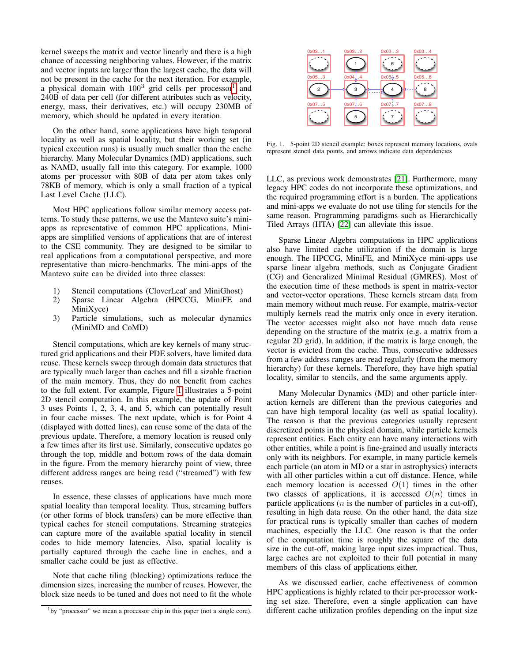kernel sweeps the matrix and vector linearly and there is a high chance of accessing neighboring values. However, if the matrix and vector inputs are larger than the largest cache, the data will not be present in the cache for the next iteration. For example, a physical domain with  $100^3$  $100^3$  grid cells per processor<sup>1</sup> and 240B of data per cell (for different attributes such as velocity, energy, mass, their derivatives, etc.) will occupy 230MB of memory, which should be updated in every iteration.

On the other hand, some applications have high temporal locality as well as spatial locality, but their working set (in typical execution runs) is usually much smaller than the cache hierarchy. Many Molecular Dynamics (MD) applications, such as NAMD, usually fall into this category. For example, 1000 atoms per processor with 80B of data per atom takes only 78KB of memory, which is only a small fraction of a typical Last Level Cache (LLC).

Most HPC applications follow similar memory access patterns. To study these patterns, we use the Mantevo suite's miniapps as representative of common HPC applications. Miniapps are simplified versions of applications that are of interest to the CSE community. They are designed to be similar to real applications from a computational perspective, and more representative than micro-benchmarks. The mini-apps of the Mantevo suite can be divided into three classes:

- 1) Stencil computations (CloverLeaf and MiniGhost)
- 2) Sparse Linear Algebra (HPCCG, MiniFE and MiniXyce)
- 3) Particle simulations, such as molecular dynamics (MiniMD and CoMD)

Stencil computations, which are key kernels of many structured grid applications and their PDE solvers, have limited data reuse. These kernels sweep through domain data structures that are typically much larger than caches and fill a sizable fraction of the main memory. Thus, they do not benefit from caches to the full extent. For example, Figure [1](#page-2-1) illustrates a 5-point 2D stencil computation. In this example, the update of Point 3 uses Points 1, 2, 3, 4, and 5, which can potentially result in four cache misses. The next update, which is for Point 4 (displayed with dotted lines), can reuse some of the data of the previous update. Therefore, a memory location is reused only a few times after its first use. Similarly, consecutive updates go through the top, middle and bottom rows of the data domain in the figure. From the memory hierarchy point of view, three different address ranges are being read ("streamed") with few reuses.

In essence, these classes of applications have much more spatial locality than temporal locality. Thus, streaming buffers (or other forms of block transfers) can be more effective than typical caches for stencil computations. Streaming strategies can capture more of the available spatial locality in stencil codes to hide memory latencies. Also, spatial locality is partially captured through the cache line in caches, and a smaller cache could be just as effective.

Note that cache tiling (blocking) optimizations reduce the dimension sizes, increasing the number of reuses. However, the block size needs to be tuned and does not need to fit the whole



<span id="page-2-1"></span>Fig. 1. 5-point 2D stencil example: boxes represent memory locations, ovals represent stencil data points, and arrows indicate data dependencies

LLC, as previous work demonstrates [\[21\]](#page-11-11). Furthermore, many legacy HPC codes do not incorporate these optimizations, and the required programming effort is a burden. The applications and mini-apps we evaluate do not use tiling for stencils for the same reason. Programming paradigms such as Hierarchically Tiled Arrays (HTA) [\[22\]](#page-11-12) can alleviate this issue.

Sparse Linear Algebra computations in HPC applications also have limited cache utilization if the domain is large enough. The HPCCG, MiniFE, and MiniXyce mini-apps use sparse linear algebra methods, such as Conjugate Gradient (CG) and Generalized Minimal Residual (GMRES). Most of the execution time of these methods is spent in matrix-vector and vector-vector operations. These kernels stream data from main memory without much reuse. For example, matrix-vector multiply kernels read the matrix only once in every iteration. The vector accesses might also not have much data reuse depending on the structure of the matrix (e.g. a matrix from a regular 2D grid). In addition, if the matrix is large enough, the vector is evicted from the cache. Thus, consecutive addresses from a few address ranges are read regularly (from the memory hierarchy) for these kernels. Therefore, they have high spatial locality, similar to stencils, and the same arguments apply.

Many Molecular Dynamics (MD) and other particle interaction kernels are different than the previous categories and can have high temporal locality (as well as spatial locality). The reason is that the previous categories usually represent discretized points in the physical domain, while particle kernels represent entities. Each entity can have many interactions with other entities, while a point is fine-grained and usually interacts only with its neighbors. For example, in many particle kernels each particle (an atom in MD or a star in astrophysics) interacts with all other particles within a cut off distance. Hence, while each memory location is accessed  $O(1)$  times in the other two classes of applications, it is accessed  $O(n)$  times in particle applications  $(n$  is the number of particles in a cut-off), resulting in high data reuse. On the other hand, the data size for practical runs is typically smaller than caches of modern machines, especially the LLC. One reason is that the order of the computation time is roughly the square of the data size in the cut-off, making large input sizes impractical. Thus, large caches are not exploited to their full potential in many members of this class of applications either.

As we discussed earlier, cache effectiveness of common HPC applications is highly related to their per-processor working set size. Therefore, even a single application can have different cache utilization profiles depending on the input size

<span id="page-2-0"></span><sup>&</sup>lt;sup>1</sup>by "processor" we mean a processor chip in this paper (not a single core).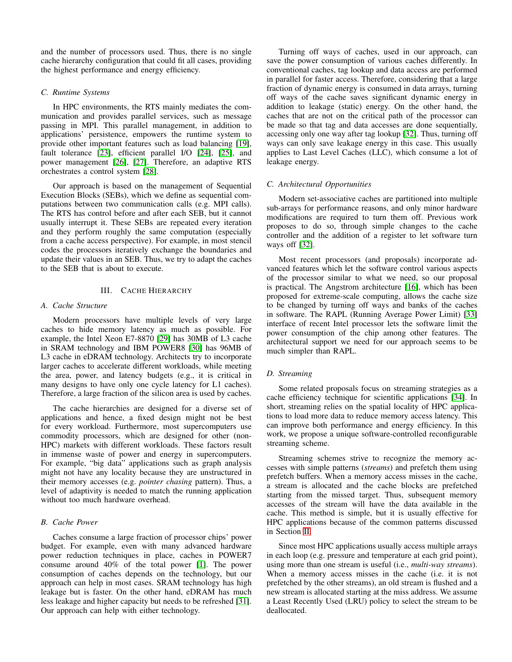and the number of processors used. Thus, there is no single cache hierarchy configuration that could fit all cases, providing the highest performance and energy efficiency.

## *C. Runtime Systems*

In HPC environments, the RTS mainly mediates the communication and provides parallel services, such as message passing in MPI. This parallel management, in addition to applications' persistence, empowers the runtime system to provide other important features such as load balancing [\[19\]](#page-11-9), fault tolerance [\[23\]](#page-11-13), efficient parallel I/O [\[24\]](#page-11-14), [\[25\]](#page-11-15), and power management [\[26\]](#page-11-16), [\[27\]](#page-11-17). Therefore, an adaptive RTS orchestrates a control system [\[28\]](#page-11-18).

Our approach is based on the management of Sequential Execution Blocks (SEBs), which we define as sequential computations between two communication calls (e.g. MPI calls). The RTS has control before and after each SEB, but it cannot usually interrupt it. These SEBs are repeated every iteration and they perform roughly the same computation (especially from a cache access perspective). For example, in most stencil codes the processors iteratively exchange the boundaries and update their values in an SEB. Thus, we try to adapt the caches to the SEB that is about to execute.

# III. CACHE HIERARCHY

## <span id="page-3-0"></span>*A. Cache Structure*

Modern processors have multiple levels of very large caches to hide memory latency as much as possible. For example, the Intel Xeon E7-8870 [\[29\]](#page-11-19) has 30MB of L3 cache in SRAM technology and IBM POWER8 [\[30\]](#page-11-20) has 96MB of L3 cache in eDRAM technology. Architects try to incorporate larger caches to accelerate different workloads, while meeting the area, power, and latency budgets (e.g., it is critical in many designs to have only one cycle latency for L1 caches). Therefore, a large fraction of the silicon area is used by caches.

The cache hierarchies are designed for a diverse set of applications and hence, a fixed design might not be best for every workload. Furthermore, most supercomputers use commodity processors, which are designed for other (non-HPC) markets with different workloads. These factors result in immense waste of power and energy in supercomputers. For example, "big data" applications such as graph analysis might not have any locality because they are unstructured in their memory accesses (e.g. *pointer chasing* pattern). Thus, a level of adaptivity is needed to match the running application without too much hardware overhead.

# *B. Cache Power*

Caches consume a large fraction of processor chips' power budget. For example, even with many advanced hardware power reduction techniques in place, caches in POWER7 consume around 40% of the total power [\[1\]](#page-10-0). The power consumption of caches depends on the technology, but our approach can help in most cases. SRAM technology has high leakage but is faster. On the other hand, eDRAM has much less leakage and higher capacity but needs to be refreshed [\[31\]](#page-11-21). Our approach can help with either technology.

Turning off ways of caches, used in our approach, can save the power consumption of various caches differently. In conventional caches, tag lookup and data access are performed in parallel for faster access. Therefore, considering that a large fraction of dynamic energy is consumed in data arrays, turning off ways of the cache saves significant dynamic energy in addition to leakage (static) energy. On the other hand, the caches that are not on the critical path of the processor can be made so that tag and data accesses are done sequentially, accessing only one way after tag lookup [\[32\]](#page-11-22). Thus, turning off ways can only save leakage energy in this case. This usually applies to Last Level Caches (LLC), which consume a lot of leakage energy.

# *C. Architectural Opportunities*

Modern set-associative caches are partitioned into multiple sub-arrays for performance reasons, and only minor hardware modifications are required to turn them off. Previous work proposes to do so, through simple changes to the cache controller and the addition of a register to let software turn ways off [\[32\]](#page-11-22).

Most recent processors (and proposals) incorporate advanced features which let the software control various aspects of the processor similar to what we need, so our proposal is practical. The Angstrom architecture [\[16\]](#page-11-6), which has been proposed for extreme-scale computing, allows the cache size to be changed by turning off ways and banks of the caches in software. The RAPL (Running Average Power Limit) [\[33\]](#page-11-23) interface of recent Intel processor lets the software limit the power consumption of the chip among other features. The architectural support we need for our approach seems to be much simpler than RAPL.

## <span id="page-3-1"></span>*D. Streaming*

Some related proposals focus on streaming strategies as a cache efficiency technique for scientific applications [\[34\]](#page-11-24). In short, streaming relies on the spatial locality of HPC applications to load more data to reduce memory access latency. This can improve both performance and energy efficiency. In this work, we propose a unique software-controlled reconfigurable streaming scheme.

Streaming schemes strive to recognize the memory accesses with simple patterns (*streams*) and prefetch them using prefetch buffers. When a memory access misses in the cache, a stream is allocated and the cache blocks are prefetched starting from the missed target. Thus, subsequent memory accesses of the stream will have the data available in the cache. This method is simple, but it is usually effective for HPC applications because of the common patterns discussed in Section [II.](#page-1-0)

Since most HPC applications usually access multiple arrays in each loop (e.g. pressure and temperature at each grid point), using more than one stream is useful (i.e., *multi-way streams*). When a memory access misses in the cache (i.e. it is not prefetched by the other streams), an old stream is flushed and a new stream is allocated starting at the miss address. We assume a Least Recently Used (LRU) policy to select the stream to be deallocated.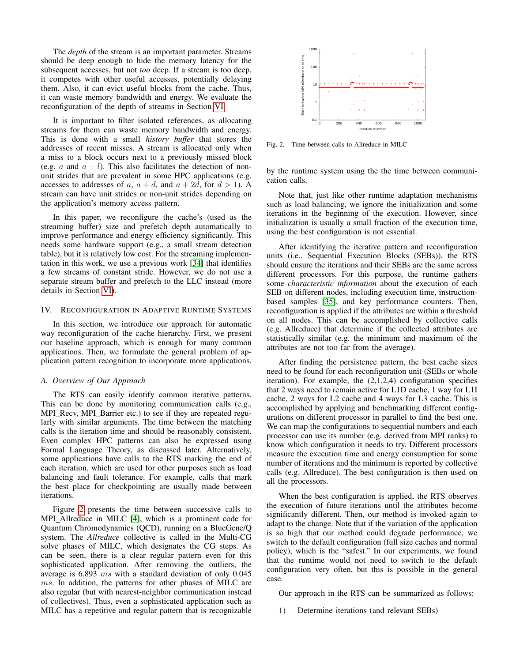The *depth* of the stream is an important parameter. Streams should be deep enough to hide the memory latency for the subsequent accesses, but not *too* deep. If a stream is too deep, it competes with other useful accesses, potentially delaying them. Also, it can evict useful blocks from the cache. Thus, it can waste memory bandwidth and energy. We evaluate the reconfiguration of the depth of streams in Section [VI.](#page-8-0)

It is important to filter isolated references, as allocating streams for them can waste memory bandwidth and energy. This is done with a small *history buffer* that stores the addresses of recent misses. A stream is allocated only when a miss to a block occurs next to a previously missed block (e.g. a and  $a + l$ ). This also facilitates the detection of nonunit strides that are prevalent in some HPC applications (e.g. accesses to addresses of a,  $a + d$ , and  $a + 2d$ , for  $d > 1$ ). A stream can have unit strides or non-unit strides depending on the application's memory access pattern.

In this paper, we reconfigure the cache's (used as the streaming buffer) size and prefetch depth automatically to improve performance and energy efficiency significantly. This needs some hardware support (e.g., a small stream detection table), but it is relatively low cost. For the streaming implementation in this work, we use a previous work [\[34\]](#page-11-24) that identifies a few streams of constant stride. However, we do not use a separate stream buffer and prefetch to the LLC instead (more details in Section [VI\)](#page-8-0).

#### <span id="page-4-0"></span>IV. RECONFIGURATION IN ADAPTIVE RUNTIME SYSTEMS

In this section, we introduce our approach for automatic way reconfiguration of the cache hierarchy. First, we present our baseline approach, which is enough for many common applications. Then, we formulate the general problem of application pattern recognition to incorporate more applications.

## *A. Overview of Our Approach*

The RTS can easily identify common iterative patterns. This can be done by monitoring communication calls (e.g., MPI\_Recv, MPI\_Barrier etc.) to see if they are repeated regularly with similar arguments. The time between the matching calls is the iteration time and should be reasonably consistent. Even complex HPC patterns can also be expressed using Formal Language Theory, as discussed later. Alternatively, some applications have calls to the RTS marking the end of each iteration, which are used for other purposes such as load balancing and fault tolerance. For example, calls that mark the best place for checkpointing are usually made between iterations.

Figure [2](#page-4-1) presents the time between successive calls to MPI\_Allreduce in MILC [\[4\]](#page-10-3), which is a prominent code for Quantum Chromodynamics (QCD), running on a BlueGene/Q system. The *Allreduce* collective is called in the Multi-CG solve phases of MILC, which designates the CG steps. As can be seen, there is a clear regular pattern even for this sophisticated application. After removing the outliers, the average is 6.893 ms with a standard deviation of only 0.045 ms. In addition, the patterns for other phases of MILC are also regular (but with nearest-neighbor communication instead of collectives). Thus, even a sophisticated application such as MILC has a repetitive and regular pattern that is recognizable



<span id="page-4-1"></span>Fig. 2. Time between calls to Allreduce in MILC

by the runtime system using the the time between communication calls.

Note that, just like other runtime adaptation mechanisms such as load balancing, we ignore the initialization and some iterations in the beginning of the execution. However, since initialization is usually a small fraction of the execution time, using the best configuration is not essential.

After identifying the iterative pattern and reconfiguration units (i.e., Sequential Execution Blocks (SEBs)), the RTS should ensure the iterations and their SEBs are the same across different processors. For this purpose, the runtime gathers some *characteristic information* about the execution of each SEB on different nodes, including execution time, instructionbased samples [\[35\]](#page-11-25), and key performance counters. Then, reconfiguration is applied if the attributes are within a threshold on all nodes. This can be accomplished by collective calls (e.g. Allreduce) that determine if the collected attributes are statistically similar (e.g. the minimum and maximum of the attributes are not too far from the average).

After finding the persistence pattern, the best cache sizes need to be found for each reconfiguration unit (SEBs or whole iteration). For example, the  $(2,1,2,4)$  configuration specifies that 2 ways need to remain active for L1D cache, 1 way for L1I cache, 2 ways for L2 cache and 4 ways for L3 cache. This is accomplished by applying and benchmarking different configurations on different processor in parallel to find the best one. We can map the configurations to sequential numbers and each processor can use its number (e.g. derived from MPI ranks) to know which configuration it needs to try. Different processors measure the execution time and energy consumption for some number of iterations and the minimum is reported by collective calls (e.g. Allreduce). The best configuration is then used on all the processors.

When the best configuration is applied, the RTS observes the execution of future iterations until the attributes become significantly different. Then, our method is invoked again to adapt to the change. Note that if the variation of the application is so high that our method could degrade performance, we switch to the default configuration (full size caches and normal policy), which is the "safest." In our experiments, we found that the runtime would not need to switch to the default configuration very often, but this is possible in the general case.

Our approach in the RTS can be summarized as follows:

1) Determine iterations (and relevant SEBs)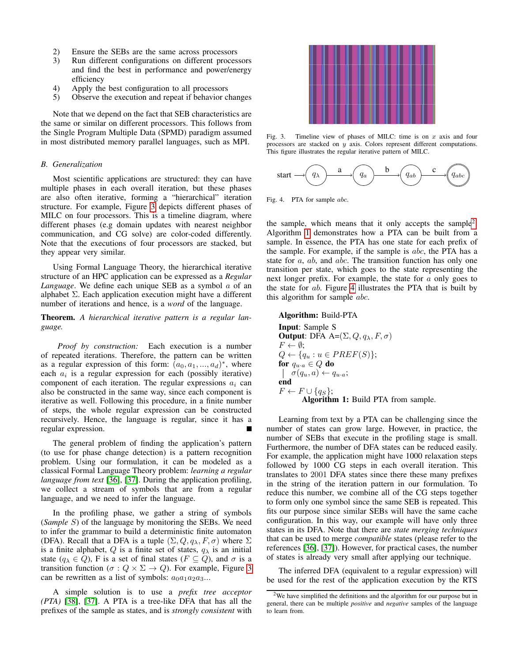- 2) Ensure the SEBs are the same across processors
- 3) Run different configurations on different processors and find the best in performance and power/energy efficiency
- 4) Apply the best configuration to all processors
- 5) Observe the execution and repeat if behavior changes

Note that we depend on the fact that SEB characteristics are the same or similar on different processors. This follows from the Single Program Multiple Data (SPMD) paradigm assumed in most distributed memory parallel languages, such as MPI.

## *B. Generalization*

Most scientific applications are structured: they can have multiple phases in each overall iteration, but these phases are also often iterative, forming a "hierarchical" iteration structure. For example, Figure [3](#page-5-0) depicts different phases of MILC on four processors. This is a timeline diagram, where different phases (e.g domain updates with nearest neighbor communication, and CG solve) are color-coded differently. Note that the executions of four processors are stacked, but they appear very similar.

Using Formal Language Theory, the hierarchical iterative structure of an HPC application can be expressed as a *Regular Language*. We define each unique SEB as a symbol a of an alphabet Σ. Each application execution might have a different number of iterations and hence, is a *word* of the language.

Theorem. *A hierarchical iterative pattern is a regular language.*

*Proof by construction:* Each execution is a number of repeated iterations. Therefore, the pattern can be written as a regular expression of this form:  $(a_0, a_1, ..., a_d)^*$ , where each  $a_i$  is a regular expression for each (possibly iterative) component of each iteration. The regular expressions  $a_i$  can also be constructed in the same way, since each component is iterative as well. Following this procedure, in a finite number of steps, the whole regular expression can be constructed recursively. Hence, the language is regular, since it has a regular expression.

The general problem of finding the application's pattern (to use for phase change detection) is a pattern recognition problem. Using our formulation, it can be modeled as a classical Formal Language Theory problem: *learning a regular language from text* [\[36\]](#page-11-26), [\[37\]](#page-11-27). During the application profiling, we collect a stream of symbols that are from a regular language, and we need to infer the language.

In the profiling phase, we gather a string of symbols (*Sample* S) of the language by monitoring the SEBs. We need to infer the grammar to build a deterministic finite automaton (DFA). Recall that a DFA is a tuple  $(\Sigma, Q, q_{\lambda}, F, \sigma)$  where  $\Sigma$ is a finite alphabet, Q is a finite set of states,  $q_{\lambda}$  is an initial state  $(q_{\lambda} \in Q)$ , F is a set of final states  $(F \subseteq Q)$ , and  $\sigma$  is a transition function ( $\sigma : Q \times \Sigma \rightarrow Q$ ). For example, Figure [3](#page-5-0) can be rewritten as a list of symbols:  $a_0a_1a_2a_3...$ 

A simple solution is to use a *prefix tree acceptor (PTA)* [\[38\]](#page-11-28), [\[37\]](#page-11-27). A PTA is a tree-like DFA that has all the prefixes of the sample as states, and is *strongly consistent* with



Fig. 3. Timeline view of phases of MILC: time is on  $x$  axis and four processors are stacked on  $\hat{y}$  axis. Colors represent different computations. This figure illustrates the regular iterative pattern of MILC.

<span id="page-5-0"></span>

<span id="page-5-3"></span>Fig. 4. PTA for sample abc.

the sample, which means that it only accepts the sample<sup>[2](#page-5-1)</sup>. Algorithm [1](#page-5-2) demonstrates how a PTA can be built from a sample. In essence, the PTA has one state for each prefix of the sample. For example, if the sample is abc, the PTA has a state for a, ab, and abc. The transition function has only one transition per state, which goes to the state representing the next longer prefix. For example, the state for a only goes to the state for ab. Figure [4](#page-5-3) illustrates the PTA that is built by this algorithm for sample abc.

```
Algorithm: Build-PTA
Input: Sample S
Output: DFA A=(\Sigma, Q, q_\lambda, F, \sigma)F \leftarrow \emptyset;Q \leftarrow \{q_u : u \in PREF(S)\};for q_{u \cdot a} \in Q do
|\sigma(q_u, a) \leftarrow q_{u \cdot a};end
F \leftarrow F \cup \{q_S\};Algorithm 1: Build PTA from sample.
```
<span id="page-5-2"></span>Learning from text by a PTA can be challenging since the number of states can grow large. However, in practice, the number of SEBs that execute in the profiling stage is small. Furthermore, the number of DFA states can be reduced easily. For example, the application might have 1000 relaxation steps followed by 1000 CG steps in each overall iteration. This translates to 2001 DFA states since there these many prefixes in the string of the iteration pattern in our formulation. To reduce this number, we combine all of the CG steps together to form only one symbol since the same SEB is repeated. This fits our purpose since similar SEBs will have the same cache configuration. In this way, our example will have only three states in its DFA. Note that there are *state merging techniques* that can be used to merge *compatible* states (please refer to the references [\[36\]](#page-11-26), [\[37\]](#page-11-27)). However, for practical cases, the number of states is already very small after applying our technique.

The inferred DFA (equivalent to a regular expression) will be used for the rest of the application execution by the RTS

<span id="page-5-1"></span><sup>&</sup>lt;sup>2</sup>We have simplified the definitions and the algorithm for our purpose but in general, there can be multiple *positive* and *negative* samples of the language to learn from.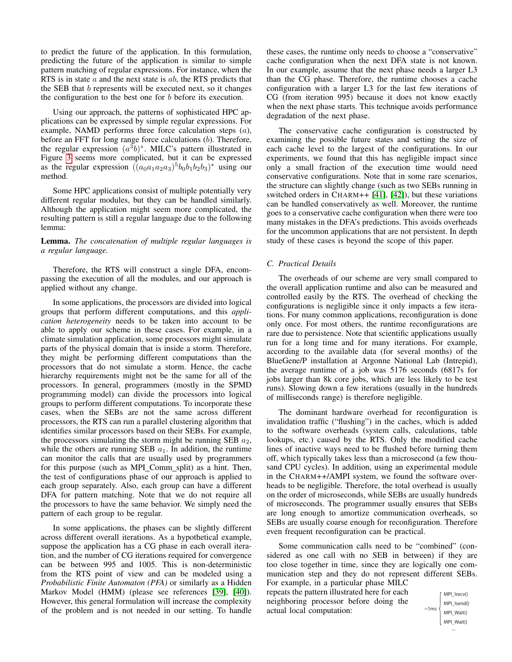to predict the future of the application. In this formulation, predicting the future of the application is similar to simple pattern matching of regular expressions. For instance, when the RTS is in state  $\alpha$  and the next state is  $ab$ , the RTS predicts that the SEB that b represents will be executed next, so it changes the configuration to the best one for b before its execution.

Using our approach, the patterns of sophisticated HPC applications can be expressed by simple regular expressions. For example, NAMD performs three force calculation steps (a), before an FFT for long range force calculations (b). Therefore, the regular expression  $(a^3b)^*$ . MILC's pattern illustrated in Figure [3](#page-5-0) seems more complicated, but it can be expressed as the regular expression  $((a_0a_1a_2a_3)^5b_0b_1b_2b_3)^*$  using our method.

Some HPC applications consist of multiple potentially very different regular modules, but they can be handled similarly. Although the application might seem more complicated, the resulting pattern is still a regular language due to the following lemma:

# Lemma. *The concatenation of multiple regular languages is a regular language.*

Therefore, the RTS will construct a single DFA, encompassing the execution of all the modules, and our approach is applied without any change.

In some applications, the processors are divided into logical groups that perform different computations, and this *application heterogeneity* needs to be taken into account to be able to apply our scheme in these cases. For example, in a climate simulation application, some processors might simulate parts of the physical domain that is inside a storm. Therefore, they might be performing different computations than the processors that do not simulate a storm. Hence, the cache hierarchy requirements might not be the same for all of the processors. In general, programmers (mostly in the SPMD programming model) can divide the processors into logical groups to perform different computations. To incorporate these cases, when the SEBs are not the same across different processors, the RTS can run a parallel clustering algorithm that identifies similar processors based on their SEBs. For example, the processors simulating the storm might be running SEB  $a_2$ , while the others are running SEB  $a_1$ . In addition, the runtime can monitor the calls that are usually used by programmers for this purpose (such as MPI Comm split) as a hint. Then, the test of configurations phase of our approach is applied to each group separately. Also, each group can have a different DFA for pattern matching. Note that we do not require all the processors to have the same behavior. We simply need the pattern of each group to be regular.

In some applications, the phases can be slightly different across different overall iterations. As a hypothetical example, suppose the application has a CG phase in each overall iteration, and the number of CG iterations required for convergence can be between 995 and 1005. This is non-deterministic from the RTS point of view and can be modeled using a *Probabilistic Finite Automaton (PFA)* or similarly as a Hidden Markov Model (HMM) (please see references [\[39\]](#page-11-29), [\[40\]](#page-11-30)). However, this general formulation will increase the complexity of the problem and is not needed in our setting. To handle these cases, the runtime only needs to choose a "conservative" cache configuration when the next DFA state is not known. In our example, assume that the next phase needs a larger L3 than the CG phase. Therefore, the runtime chooses a cache configuration with a larger L3 for the last few iterations of CG (from iteration 995) because it does not know exactly when the next phase starts. This technique avoids performance degradation of the next phase.

The conservative cache configuration is constructed by examining the possible future states and setting the size of each cache level to the largest of the configurations. In our experiments, we found that this has negligible impact since only a small fraction of the execution time would need conservative configurations. Note that in some rare scenarios, the structure can slightly change (such as two SEBs running in switched orders in CHARM++ [\[41\]](#page-11-31), [\[42\]](#page-11-32)), but these variations can be handled conservatively as well. Moreover, the runtime goes to a conservative cache configuration when there were too many mistakes in the DFA's predictions. This avoids overheads for the uncommon applications that are not persistent. In depth study of these cases is beyond the scope of this paper.

# *C. Practical Details*

The overheads of our scheme are very small compared to the overall application runtime and also can be measured and controlled easily by the RTS. The overhead of checking the configurations is negligible since it only impacts a few iterations. For many common applications, reconfiguration is done only once. For most others, the runtime reconfigurations are rare due to persistence. Note that scientific applications usually run for a long time and for many iterations. For example, according to the available data (for several months) of the BlueGene/P installation at Argonne National Lab (Intrepid), the average runtime of a job was 5176 seconds (6817s for jobs larger than 8k core jobs, which are less likely to be test runs). Slowing down a few iterations (usually in the hundreds of milliseconds range) is therefore negligible.

The dominant hardware overhead for reconfiguration is invalidation traffic ("flushing") in the caches, which is added to the software overheads (system calls, calculations, table lookups, etc.) caused by the RTS. Only the modified cache lines of inactive ways need to be flushed before turning them off, which typically takes less than a microsecond (a few thousand CPU cycles). In addition, using an experimental module in the CHARM++/AMPI system, we found the software overheads to be negligible. Therefore, the total overhead is usually on the order of microseconds, while SEBs are usually hundreds of microseconds. The programmer usually ensures that SEBs are long enough to amortize communication overheads, so SEBs are usually coarse enough for reconfiguration. Therefore even frequent reconfiguration can be practical.

Some communication calls need to be "combined" (considered as one call with no SEB in between) if they are too close together in time, since they are logically one communication step and they do not represent different SEBs.

For example, in a particular phase MILC repeats the pattern illustrated here for each neighboring processor before doing the actual local computation:

| ~1ms { | MPI_Irecv() |
|--------|-------------|
|        | MPI_Isend() |
|        | MPI Wait()  |
|        | MPI Wait()  |
|        |             |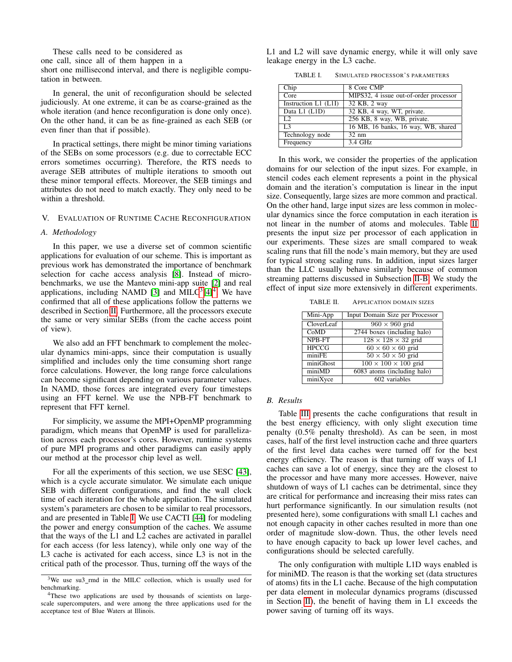These calls need to be considered as one call, since all of them happen in a short one millisecond interval, and there is negligible computation in between.

In general, the unit of reconfiguration should be selected judiciously. At one extreme, it can be as coarse-grained as the whole iteration (and hence reconfiguration is done only once). On the other hand, it can be as fine-grained as each SEB (or even finer than that if possible).

In practical settings, there might be minor timing variations of the SEBs on some processors (e.g. due to correctable ECC errors sometimes occurring). Therefore, the RTS needs to average SEB attributes of multiple iterations to smooth out these minor temporal effects. Moreover, the SEB timings and attributes do not need to match exactly. They only need to be within a threshold.

### <span id="page-7-0"></span>V. EVALUATION OF RUNTIME CACHE RECONFIGURATION

#### *A. Methodology*

In this paper, we use a diverse set of common scientific applications for evaluation of our scheme. This is important as previous work has demonstrated the importance of benchmark selection for cache access analysis [\[8\]](#page-10-7). Instead of microbenchmarks, we use the Mantevo mini-app suite [\[2\]](#page-10-1) and real applications, including NAMD [\[3\]](#page-10-2) and  $\text{MILC}^3[4]^4$  $\text{MILC}^3[4]^4$  $\text{MILC}^3[4]^4$  $\text{MILC}^3[4]^4$  $\text{MILC}^3[4]^4$ . We have confirmed that all of these applications follow the patterns we described in Section [II.](#page-1-0) Furthermore, all the processors execute the same or very similar SEBs (from the cache access point of view).

We also add an FFT benchmark to complement the molecular dynamics mini-apps, since their computation is usually simplified and includes only the time consuming short range force calculations. However, the long range force calculations can become significant depending on various parameter values. In NAMD, those forces are integrated every four timesteps using an FFT kernel. We use the NPB-FT benchmark to represent that FFT kernel.

For simplicity, we assume the MPI+OpenMP programming paradigm, which means that OpenMP is used for parallelization across each processor's cores. However, runtime systems of pure MPI programs and other paradigms can easily apply our method at the processor chip level as well.

For all the experiments of this section, we use SESC [\[43\]](#page-11-33), which is a cycle accurate simulator. We simulate each unique SEB with different configurations, and find the wall clock time of each iteration for the whole application. The simulated system's parameters are chosen to be similar to real processors, and are presented in Table [I.](#page-7-3) We use CACTI [\[44\]](#page-11-34) for modeling the power and energy consumption of the caches. We assume that the ways of the L1 and L2 caches are activated in parallel for each access (for less latency), while only one way of the L3 cache is activated for each access, since L3 is not in the critical path of the processor. Thus, turning off the ways of the L1 and L2 will save dynamic energy, while it will only save leakage energy in the L3 cache.

<span id="page-7-3"></span>TABLE I. SIMULATED PROCESSOR'S PARAMETERS

| Chip                 | 8 Core CMP                             |
|----------------------|----------------------------------------|
| Core                 | MIPS32, 4 issue out-of-order processor |
| Instruction L1 (L1I) | 32 KB, 2 way                           |
| Data L1 (L1D)        | 32 KB, 4 way, WT, private.             |
| L <sub>2</sub>       | 256 KB, 8 way, WB, private.            |
| L <sub>3</sub>       | 16 MB, 16 banks, 16 way, WB, shared    |
| Technology node      | 32 nm                                  |
| Frequency            | 3.4 GHz                                |

In this work, we consider the properties of the application domains for our selection of the input sizes. For example, in stencil codes each element represents a point in the physical domain and the iteration's computation is linear in the input size. Consequently, large sizes are more common and practical. On the other hand, large input sizes are less common in molecular dynamics since the force computation in each iteration is not linear in the number of atoms and molecules. Table [II](#page-7-4) presents the input size per processor of each application in our experiments. These sizes are small compared to weak scaling runs that fill the node's main memory, but they are used for typical strong scaling runs. In addition, input sizes larger than the LLC usually behave similarly because of common streaming patterns discussed in Subsection [II-B.](#page-1-1) We study the effect of input size more extensively in different experiments.

<span id="page-7-4"></span>TABLE II. APPLICATION DOMAIN SIZES

| Mini-App     | Input Domain Size per Processor  |
|--------------|----------------------------------|
| CloverLeaf   | $960 \times 960$ grid            |
| CoMD         | 2744 boxes (including halo)      |
| NPB-FT       | $128 \times 128 \times 32$ grid  |
| <b>HPCCG</b> | $60 \times 60 \times 60$ grid    |
| miniFE       | $50 \times 50 \times 50$ grid    |
| miniGhost    | $100 \times 100 \times 100$ grid |
| minMD        | 6083 atoms (including halo)      |
| miniXyce     | 602 variables                    |

## *B. Results*

Table [III](#page-8-1) presents the cache configurations that result in the best energy efficiency, with only slight execution time penalty (0.5% penalty threshold). As can be seen, in most cases, half of the first level instruction cache and three quarters of the first level data caches were turned off for the best energy efficiency. The reason is that turning off ways of L1 caches can save a lot of energy, since they are the closest to the processor and have many more accesses. However, naive shutdown of ways of L1 caches can be detrimental, since they are critical for performance and increasing their miss rates can hurt performance significantly. In our simulation results (not presented here), some configurations with small L1 caches and not enough capacity in other caches resulted in more than one order of magnitude slow-down. Thus, the other levels need to have enough capacity to back up lower level caches, and configurations should be selected carefully.

The only configuration with multiple L1D ways enabled is for miniMD. The reason is that the working set (data structures of atoms) fits in the L1 cache. Because of the high computation per data element in molecular dynamics programs (discussed in Section [II\)](#page-1-0), the benefit of having them in L1 exceeds the power saving of turning off its ways.

<span id="page-7-1"></span> $3$ We use su3\_rmd in the MILC collection, which is usually used for benchmarking.

<span id="page-7-2"></span><sup>&</sup>lt;sup>4</sup>These two applications are used by thousands of scientists on largescale supercomputers, and were among the three applications used for the acceptance test of Blue Waters at Illinois.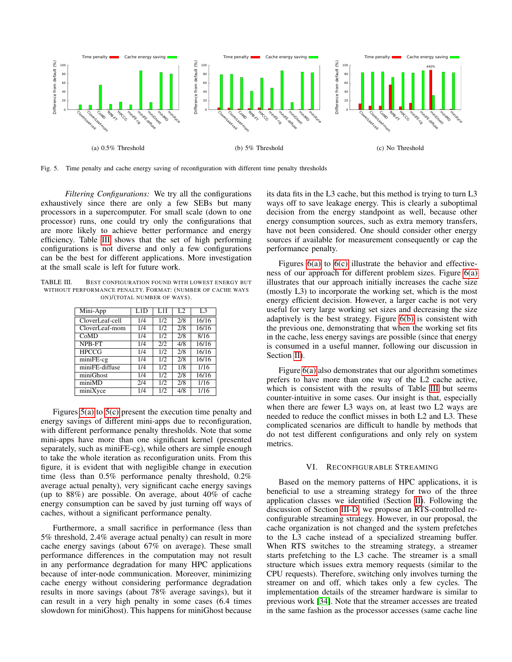<span id="page-8-2"></span>

Fig. 5. Time penalty and cache energy saving of reconfiguration with different time penalty thresholds

*Filtering Configurations:* We try all the configurations exhaustively since there are only a few SEBs but many processors in a supercomputer. For small scale (down to one processor) runs, one could try only the configurations that are more likely to achieve better performance and energy efficiency. Table [III](#page-8-1) shows that the set of high performing configurations is not diverse and only a few configurations can be the best for different applications. More investigation at the small scale is left for future work.

TABLE III. BEST CONFIGURATION FOUND WITH LOWEST ENERGY BUT WITHOUT PERFORMANCE PENALTY. FORMAT: (NUMBER OF CACHE WAYS ON)/(TOTAL NUMBER OF WAYS).

<span id="page-8-1"></span>

| $\overline{\text{Mini-App}}$ | L1D | L1I              | L <sub>2</sub>   | L <sub>3</sub> |
|------------------------------|-----|------------------|------------------|----------------|
| CloverLeaf-cell              | 1/4 | $\overline{1/2}$ | $\overline{2/8}$ | 16/16          |
| CloverLeaf-mom               | 1/4 | 1/2              | 2/8              | 16/16          |
| CoMD                         | 1/4 | 1/2              | 2/8              | 8/16           |
| NPB-FT                       | 1/4 | 2/2              | 4/8              | 16/16          |
| <b>HPCCG</b>                 | 1/4 | 1/2              | 2/8              | 16/16          |
| miniFE-cg                    | 1/4 | 1/2              | 2/8              | 16/16          |
| miniFE-diffuse               | 1/4 | 1/2              | 1/8              | $\frac{1}{16}$ |
| miniGhost                    | 1/4 | 1/2              | 2/8              | 16/16          |
| minIMD                       | 2/4 | 1/2              | 2/8              | 1/16           |
| miniXyce                     | 1/4 | 1/2              | 4/8              | 1/16           |

Figures [5\(a\)](#page-8-2) to [5\(c\)](#page-8-3) present the execution time penalty and energy savings of different mini-apps due to reconfiguration, with different performance penalty thresholds. Note that some mini-apps have more than one significant kernel (presented separately, such as miniFE-cg), while others are simple enough to take the whole iteration as reconfiguration units. From this figure, it is evident that with negligible change in execution time (less than 0.5% performance penalty threshold, 0.2% average actual penalty), very significant cache energy savings (up to 88%) are possible. On average, about 40% of cache energy consumption can be saved by just turning off ways of caches, without a significant performance penalty.

Furthermore, a small sacrifice in performance (less than 5% threshold, 2.4% average actual penalty) can result in more cache energy savings (about 67% on average). These small performance differences in the computation may not result in any performance degradation for many HPC applications because of inter-node communication. Moreover, minimizing cache energy without considering performance degradation results in more savings (about 78% average savings), but it can result in a very high penalty in some cases (6.4 times slowdown for miniGhost). This happens for miniGhost because <span id="page-8-3"></span>its data fits in the L3 cache, but this method is trying to turn L3 ways off to save leakage energy. This is clearly a suboptimal decision from the energy standpoint as well, because other energy consumption sources, such as extra memory transfers, have not been considered. One should consider other energy sources if available for measurement consequently or cap the performance penalty.

Figures [6\(a\)](#page-9-1) to [6\(c\)](#page-9-2) illustrate the behavior and effectiveness of our approach for different problem sizes. Figure [6\(a\)](#page-9-1) illustrates that our approach initially increases the cache size (mostly L3) to incorporate the working set, which is the most energy efficient decision. However, a larger cache is not very useful for very large working set sizes and decreasing the size adaptively is the best strategy. Figure [6\(b\)](#page-9-3) is consistent with the previous one, demonstrating that when the working set fits in the cache, less energy savings are possible (since that energy is consumed in a useful manner, following our discussion in Section [II\)](#page-1-0).

Figure [6\(a\)](#page-9-1) also demonstrates that our algorithm sometimes prefers to have more than one way of the L2 cache active, which is consistent with the results of Table [III](#page-8-1) but seems counter-intuitive in some cases. Our insight is that, especially when there are fewer L3 ways on, at least two L2 ways are needed to reduce the conflict misses in both L2 and L3. These complicated scenarios are difficult to handle by methods that do not test different configurations and only rely on system metrics.

#### VI. RECONFIGURABLE STREAMING

<span id="page-8-0"></span>Based on the memory patterns of HPC applications, it is beneficial to use a streaming strategy for two of the three application classes we identified (Section [II\)](#page-1-0). Following the discussion of Section [III-D,](#page-3-1) we propose an RTS-controlled reconfigurable streaming strategy. However, in our proposal, the cache organization is not changed and the system prefetches to the L3 cache instead of a specialized streaming buffer. When RTS switches to the streaming strategy, a streamer starts prefetching to the L3 cache. The streamer is a small structure which issues extra memory requests (similar to the CPU requests). Therefore, switching only involves turning the streamer on and off, which takes only a few cycles. The implementation details of the streamer hardware is similar to previous work [\[34\]](#page-11-24). Note that the streamer accesses are treated in the same fashion as the processor accesses (same cache line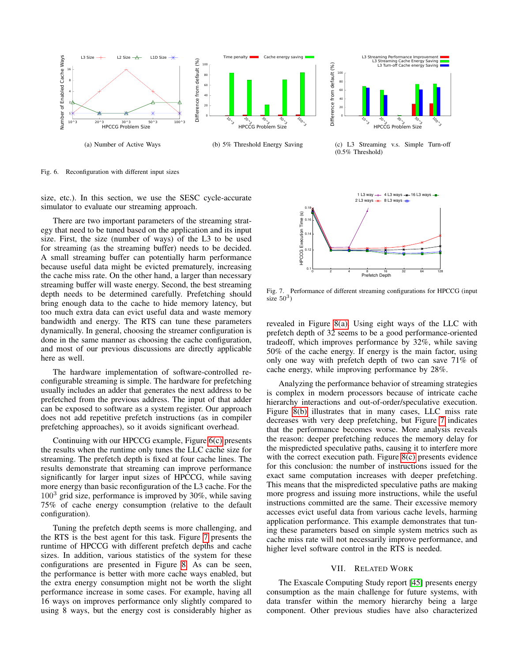<span id="page-9-1"></span>

Fig. 6. Reconfiguration with different input sizes

size, etc.). In this section, we use the SESC cycle-accurate simulator to evaluate our streaming approach.

There are two important parameters of the streaming strategy that need to be tuned based on the application and its input size. First, the size (number of ways) of the L3 to be used for streaming (as the streaming buffer) needs to be decided. A small streaming buffer can potentially harm performance because useful data might be evicted prematurely, increasing the cache miss rate. On the other hand, a larger than necessary streaming buffer will waste energy. Second, the best streaming depth needs to be determined carefully. Prefetching should bring enough data to the cache to hide memory latency, but too much extra data can evict useful data and waste memory bandwidth and energy. The RTS can tune these parameters dynamically. In general, choosing the streamer configuration is done in the same manner as choosing the cache configuration, and most of our previous discussions are directly applicable here as well.

The hardware implementation of software-controlled reconfigurable streaming is simple. The hardware for prefetching usually includes an adder that generates the next address to be prefetched from the previous address. The input of that adder can be exposed to software as a system register. Our approach does not add repetitive prefetch instructions (as in compiler prefetching approaches), so it avoids significant overhead.

Continuing with our HPCCG example, Figure [6\(c\)](#page-9-2) presents the results when the runtime only tunes the LLC cache size for streaming. The prefetch depth is fixed at four cache lines. The results demonstrate that streaming can improve performance significantly for larger input sizes of HPCCG, while saving more energy than basic reconfiguration of the L3 cache. For the  $100<sup>3</sup>$  grid size, performance is improved by 30%, while saving 75% of cache energy consumption (relative to the default configuration).

Tuning the prefetch depth seems is more challenging, and the RTS is the best agent for this task. Figure [7](#page-9-4) presents the runtime of HPCCG with different prefetch depths and cache sizes. In addition, various statistics of the system for these configurations are presented in Figure [8.](#page-10-10) As can be seen, the performance is better with more cache ways enabled, but the extra energy consumption might not be worth the slight performance increase in some cases. For example, having all 16 ways on improves performance only slightly compared to using 8 ways, but the energy cost is considerably higher as

<span id="page-9-3"></span><span id="page-9-2"></span>

<span id="page-9-4"></span>Fig. 7. Performance of different streaming configurations for HPCCG (input size  $50^3$ )

revealed in Figure [8\(a\).](#page-10-11) Using eight ways of the LLC with prefetch depth of 32 seems to be a good performance-oriented tradeoff, which improves performance by 32%, while saving 50% of the cache energy. If energy is the main factor, using only one way with prefetch depth of two can save 71% of cache energy, while improving performance by 28%.

Analyzing the performance behavior of streaming strategies is complex in modern processors because of intricate cache hierarchy interactions and out-of-order/speculative execution. Figure [8\(b\)](#page-10-12) illustrates that in many cases, LLC miss rate decreases with very deep prefetching, but Figure [7](#page-9-4) indicates that the performance becomes worse. More analysis reveals the reason: deeper prefetching reduces the memory delay for the mispredicted speculative paths, causing it to interfere more with the correct execution path. Figure [8\(c\)](#page-10-13) presents evidence for this conclusion: the number of instructions issued for the exact same computation increases with deeper prefetching. This means that the mispredicted speculative paths are making more progress and issuing more instructions, while the useful instructions committed are the same. Their excessive memory accesses evict useful data from various cache levels, harming application performance. This example demonstrates that tuning these parameters based on simple system metrics such as cache miss rate will not necessarily improve performance, and higher level software control in the RTS is needed.

#### VII. RELATED WORK

<span id="page-9-0"></span>The Exascale Computing Study report [\[45\]](#page-11-35) presents energy consumption as the main challenge for future systems, with data transfer within the memory hierarchy being a large component. Other previous studies have also characterized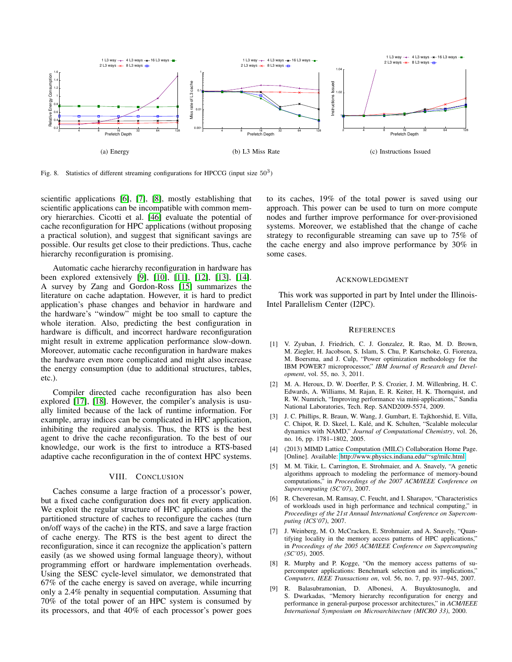<span id="page-10-11"></span>

<span id="page-10-10"></span>Fig. 8. Statistics of different streaming configurations for HPCCG (input size  $50<sup>3</sup>$ )

scientific applications [\[6\]](#page-10-5), [\[7\]](#page-10-6), [\[8\]](#page-10-7), mostly establishing that scientific applications can be incompatible with common memory hierarchies. Cicotti et al. [\[46\]](#page-11-36) evaluate the potential of cache reconfiguration for HPC applications (without proposing a practical solution), and suggest that significant savings are possible. Our results get close to their predictions. Thus, cache hierarchy reconfiguration is promising.

Automatic cache hierarchy reconfiguration in hardware has been explored extensively [\[9\]](#page-10-9), [\[10\]](#page-11-0), [\[11\]](#page-11-1), [\[12\]](#page-11-2), [\[13\]](#page-11-3), [\[14\]](#page-11-4). A survey by Zang and Gordon-Ross [\[15\]](#page-11-5) summarizes the literature on cache adaptation. However, it is hard to predict application's phase changes and behavior in hardware and the hardware's "window" might be too small to capture the whole iteration. Also, predicting the best configuration in hardware is difficult, and incorrect hardware reconfiguration might result in extreme application performance slow-down. Moreover, automatic cache reconfiguration in hardware makes the hardware even more complicated and might also increase the energy consumption (due to additional structures, tables, etc.).

Compiler directed cache reconfiguration has also been explored [\[17\]](#page-11-7), [\[18\]](#page-11-8). However, the compiler's analysis is usually limited because of the lack of runtime information. For example, array indices can be complicated in HPC application, inhibiting the required analysis. Thus, the RTS is the best agent to drive the cache reconfiguration. To the best of our knowledge, our work is the first to introduce a RTS-based adaptive cache reconfiguration in the of context HPC systems.

#### VIII. CONCLUSION

<span id="page-10-8"></span>Caches consume a large fraction of a processor's power, but a fixed cache configuration does not fit every application. We exploit the regular structure of HPC applications and the partitioned structure of caches to reconfigure the caches (turn on/off ways of the cache) in the RTS, and save a large fraction of cache energy. The RTS is the best agent to direct the reconfiguration, since it can recognize the application's pattern easily (as we showed using formal language theory), without programming effort or hardware implementation overheads. Using the SESC cycle-level simulator, we demonstrated that 67% of the cache energy is saved on average, while incurring only a 2.4% penalty in sequential computation. Assuming that 70% of the total power of an HPC system is consumed by its processors, and that 40% of each processor's power goes

<span id="page-10-13"></span><span id="page-10-12"></span>to its caches, 19% of the total power is saved using our approach. This power can be used to turn on more compute nodes and further improve performance for over-provisioned systems. Moreover, we established that the change of cache strategy to reconfigurable streaming can save up to 75% of the cache energy and also improve performance by 30% in some cases.

#### ACKNOWLEDGMENT

This work was supported in part by Intel under the Illinois-Intel Parallelism Center (I2PC).

#### **REFERENCES**

- <span id="page-10-0"></span>[1] V. Zyuban, J. Friedrich, C. J. Gonzalez, R. Rao, M. D. Brown, M. Ziegler, H. Jacobson, S. Islam, S. Chu, P. Kartschoke, G. Fiorenza, M. Boersma, and J. Culp, "Power optimization methodology for the IBM POWER7 microprocessor," *IBM Journal of Research and Development*, vol. 55, no. 3, 2011.
- <span id="page-10-1"></span>[2] M. A. Heroux, D. W. Doerfler, P. S. Crozier, J. M. Willenbring, H. C. Edwards, A. Williams, M. Rajan, E. R. Keiter, H. K. Thornquist, and R. W. Numrich, "Improving performance via mini-applications," Sandia National Laboratories, Tech. Rep. SAND2009-5574, 2009.
- <span id="page-10-2"></span>[3] J. C. Phillips, R. Braun, W. Wang, J. Gumbart, E. Tajkhorshid, E. Villa, C. Chipot, R. D. Skeel, L. Kalé, and K. Schulten, "Scalable molecular dynamics with NAMD," *Journal of Computational Chemistry*, vol. 26, no. 16, pp. 1781–1802, 2005.
- <span id="page-10-3"></span>[4] (2013) MIMD Lattice Computation (MILC) Collaboration Home Page. [Online]. Available: [http://www.physics.indiana.edu/](http://www.physics.indiana.edu/~sg/milc.html)∼sg/milc.html
- <span id="page-10-4"></span>[5] M. M. Tikir, L. Carrington, E. Strohmaier, and A. Snavely, "A genetic algorithms approach to modeling the performance of memory-bound computations," in *Proceedings of the 2007 ACM/IEEE Conference on Supercomputing (SC'07)*, 2007.
- <span id="page-10-5"></span>[6] R. Cheveresan, M. Ramsay, C. Feucht, and I. Sharapov, "Characteristics" of workloads used in high performance and technical computing," in *Proceedings of the 21st Annual International Conference on Supercomputing (ICS'07)*, 2007.
- <span id="page-10-6"></span>[7] J. Weinberg, M. O. McCracken, E. Strohmaier, and A. Snavely, "Quantifying locality in the memory access patterns of HPC applications," in *Proceedings of the 2005 ACM/IEEE Conference on Supercomputing (SC'05)*, 2005.
- <span id="page-10-7"></span>[8] R. Murphy and P. Kogge, "On the memory access patterns of supercomputer applications: Benchmark selection and its implications," *Computers, IEEE Transactions on*, vol. 56, no. 7, pp. 937–945, 2007.
- <span id="page-10-9"></span>R. Balasubramonian, D. Albonesi, A. Buyuktosunoglu, and S. Dwarkadas, "Memory hierarchy reconfiguration for energy and performance in general-purpose processor architectures," in *ACM/IEEE International Symposium on Microarchitecture (MICRO 33)*, 2000.